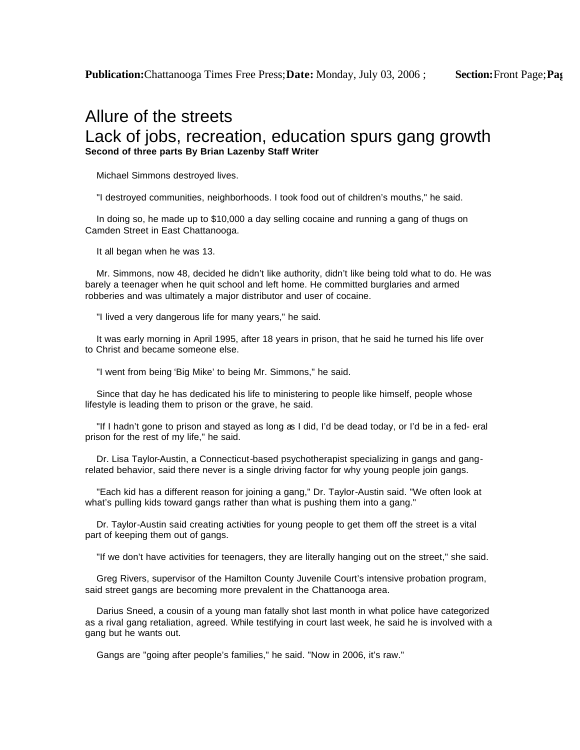## Allure of the streets Lack of jobs, recreation, education spurs gang growth **Second of three parts By Brian Lazenby Staff Writer**

Michael Simmons destroyed lives.

"I destroyed communities, neighborhoods. I took food out of children's mouths," he said.

 In doing so, he made up to \$10,000 a day selling cocaine and running a gang of thugs on Camden Street in East Chattanooga.

It all began when he was 13.

 Mr. Simmons, now 48, decided he didn't like authority, didn't like being told what to do. He was barely a teenager when he quit school and left home. He committed burglaries and armed robberies and was ultimately a major distributor and user of cocaine.

"I lived a very dangerous life for many years," he said.

 It was early morning in April 1995, after 18 years in prison, that he said he turned his life over to Christ and became someone else.

"I went from being 'Big Mike' to being Mr. Simmons," he said.

 Since that day he has dedicated his life to ministering to people like himself, people whose lifestyle is leading them to prison or the grave, he said.

 "If I hadn't gone to prison and stayed as long as I did, I'd be dead today, or I'd be in a fed- eral prison for the rest of my life," he said.

 Dr. Lisa Taylor-Austin, a Connecticut-based psychotherapist specializing in gangs and gangrelated behavior, said there never is a single driving factor for why young people join gangs.

 "Each kid has a different reason for joining a gang," Dr. Taylor-Austin said. "We often look at what's pulling kids toward gangs rather than what is pushing them into a gang."

 Dr. Taylor-Austin said creating activities for young people to get them off the street is a vital part of keeping them out of gangs.

"If we don't have activities for teenagers, they are literally hanging out on the street," she said.

 Greg Rivers, supervisor of the Hamilton County Juvenile Court's intensive probation program, said street gangs are becoming more prevalent in the Chattanooga area.

 Darius Sneed, a cousin of a young man fatally shot last month in what police have categorized as a rival gang retaliation, agreed. While testifying in court last week, he said he is involved with a gang but he wants out.

Gangs are "going after people's families," he said. "Now in 2006, it's raw."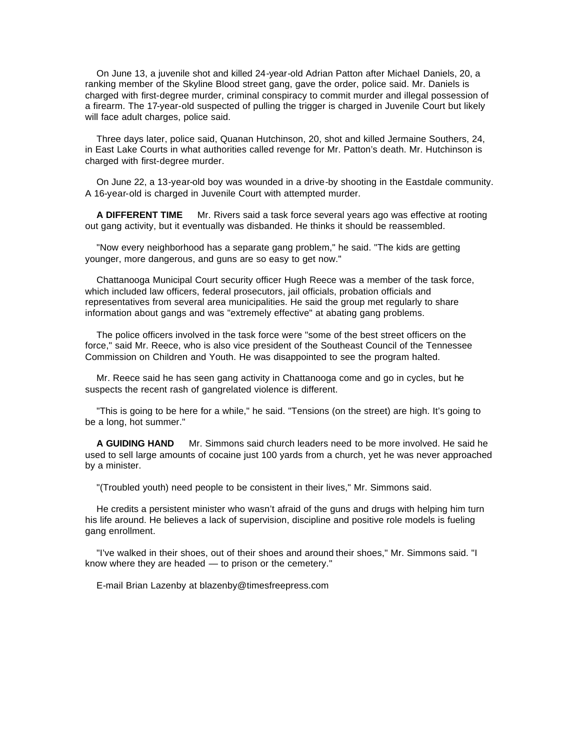On June 13, a juvenile shot and killed 24-year-old Adrian Patton after Michael Daniels, 20, a ranking member of the Skyline Blood street gang, gave the order, police said. Mr. Daniels is charged with first-degree murder, criminal conspiracy to commit murder and illegal possession of a firearm. The 17-year-old suspected of pulling the trigger is charged in Juvenile Court but likely will face adult charges, police said.

 Three days later, police said, Quanan Hutchinson, 20, shot and killed Jermaine Southers, 24, in East Lake Courts in what authorities called revenge for Mr. Patton's death. Mr. Hutchinson is charged with first-degree murder.

 On June 22, a 13-year-old boy was wounded in a drive-by shooting in the Eastdale community. A 16-year-old is charged in Juvenile Court with attempted murder.

 **A DIFFERENT TIME** Mr. Rivers said a task force several years ago was effective at rooting out gang activity, but it eventually was disbanded. He thinks it should be reassembled.

 "Now every neighborhood has a separate gang problem," he said. "The kids are getting younger, more dangerous, and guns are so easy to get now."

 Chattanooga Municipal Court security officer Hugh Reece was a member of the task force, which included law officers, federal prosecutors, jail officials, probation officials and representatives from several area municipalities. He said the group met regularly to share information about gangs and was "extremely effective" at abating gang problems.

 The police officers involved in the task force were "some of the best street officers on the force," said Mr. Reece, who is also vice president of the Southeast Council of the Tennessee Commission on Children and Youth. He was disappointed to see the program halted.

 Mr. Reece said he has seen gang activity in Chattanooga come and go in cycles, but he suspects the recent rash of gangrelated violence is different.

 "This is going to be here for a while," he said. "Tensions (on the street) are high. It's going to be a long, hot summer."

 **A GUIDING HAND** Mr. Simmons said church leaders need to be more involved. He said he used to sell large amounts of cocaine just 100 yards from a church, yet he was never approached by a minister.

"(Troubled youth) need people to be consistent in their lives," Mr. Simmons said.

 He credits a persistent minister who wasn't afraid of the guns and drugs with helping him turn his life around. He believes a lack of supervision, discipline and positive role models is fueling gang enrollment.

 "I've walked in their shoes, out of their shoes and around their shoes," Mr. Simmons said. "I know where they are headed — to prison or the cemetery."

E-mail Brian Lazenby at blazenby@timesfreepress.com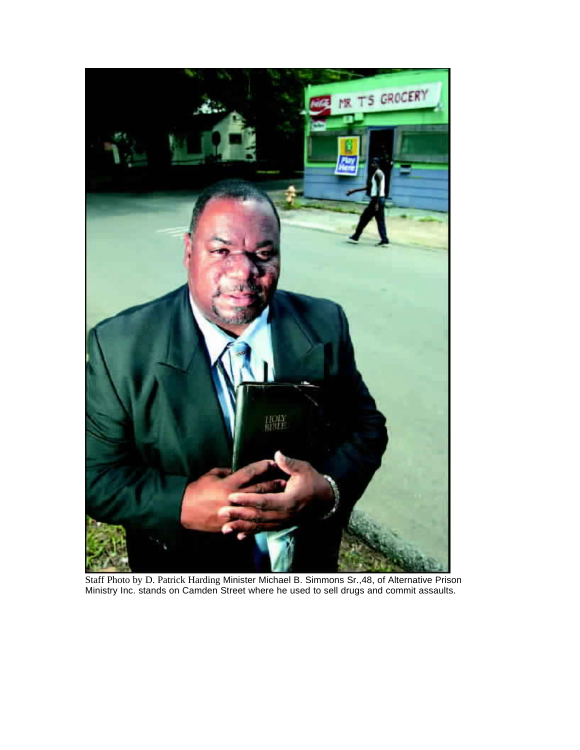

Staff Photo by D. Patrick Harding Minister Michael B. Simmons Sr.,48, of Alternative Prison Ministry Inc. stands on Camden Street where he used to sell drugs and commit assaults.